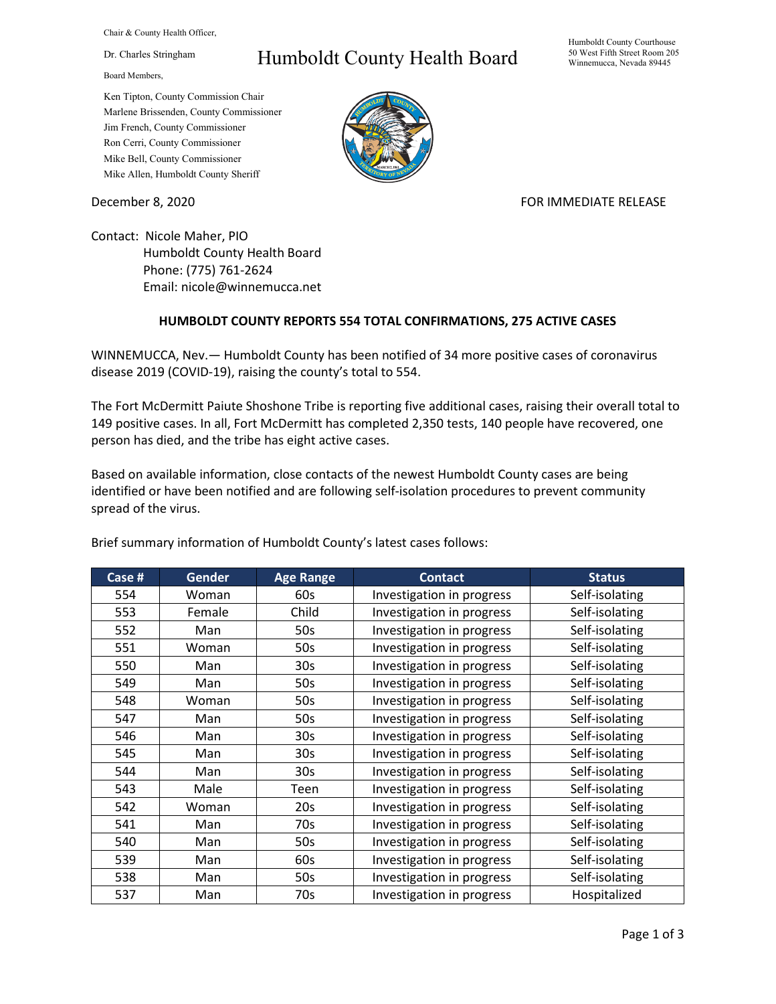Chair & County Health Officer,

Dr. Charles Stringham

Board Members,

## Humboldt County Health Board

Humboldt County Courthouse 50 West Fifth Street Room 205 Winnemucca, Nevada 89445

Ken Tipton, County Commission Chair Marlene Brissenden, County Commissioner Jim French, County Commissioner Ron Cerri, County Commissioner Mike Bell, County Commissioner Mike Allen, Humboldt County Sheriff

December 8, 2020 **FOR IMMEDIATE RELEASE** 

Contact: Nicole Maher, PIO Humboldt County Health Board Phone: (775) 761-2624 Email: nicole@winnemucca.net

## **HUMBOLDT COUNTY REPORTS 554 TOTAL CONFIRMATIONS, 275 ACTIVE CASES**

WINNEMUCCA, Nev.— Humboldt County has been notified of 34 more positive cases of coronavirus disease 2019 (COVID-19), raising the county's total to 554.

The Fort McDermitt Paiute Shoshone Tribe is reporting five additional cases, raising their overall total to 149 positive cases. In all, Fort McDermitt has completed 2,350 tests, 140 people have recovered, one person has died, and the tribe has eight active cases.

Based on available information, close contacts of the newest Humboldt County cases are being identified or have been notified and are following self-isolation procedures to prevent community spread of the virus.

| Case # | <b>Gender</b> | <b>Age Range</b> | <b>Contact</b>            | <b>Status</b>  |
|--------|---------------|------------------|---------------------------|----------------|
| 554    | Woman         | 60s              | Investigation in progress | Self-isolating |
| 553    | Female        | Child            | Investigation in progress | Self-isolating |
| 552    | Man           | 50s              | Investigation in progress | Self-isolating |
| 551    | Woman         | 50s              | Investigation in progress | Self-isolating |
| 550    | Man           | 30 <sub>s</sub>  | Investigation in progress | Self-isolating |
| 549    | Man           | 50s              | Investigation in progress | Self-isolating |
| 548    | Woman         | 50s              | Investigation in progress | Self-isolating |
| 547    | Man           | 50s              | Investigation in progress | Self-isolating |
| 546    | Man           | 30 <sub>s</sub>  | Investigation in progress | Self-isolating |
| 545    | Man           | 30 <sub>s</sub>  | Investigation in progress | Self-isolating |
| 544    | Man           | 30 <sub>s</sub>  | Investigation in progress | Self-isolating |
| 543    | Male          | Teen             | Investigation in progress | Self-isolating |
| 542    | Woman         | 20s              | Investigation in progress | Self-isolating |
| 541    | Man           | 70s              | Investigation in progress | Self-isolating |
| 540    | Man           | 50s              | Investigation in progress | Self-isolating |
| 539    | Man           | 60s              | Investigation in progress | Self-isolating |
| 538    | Man           | 50s              | Investigation in progress | Self-isolating |
| 537    | Man           | 70s              | Investigation in progress | Hospitalized   |

Brief summary information of Humboldt County's latest cases follows: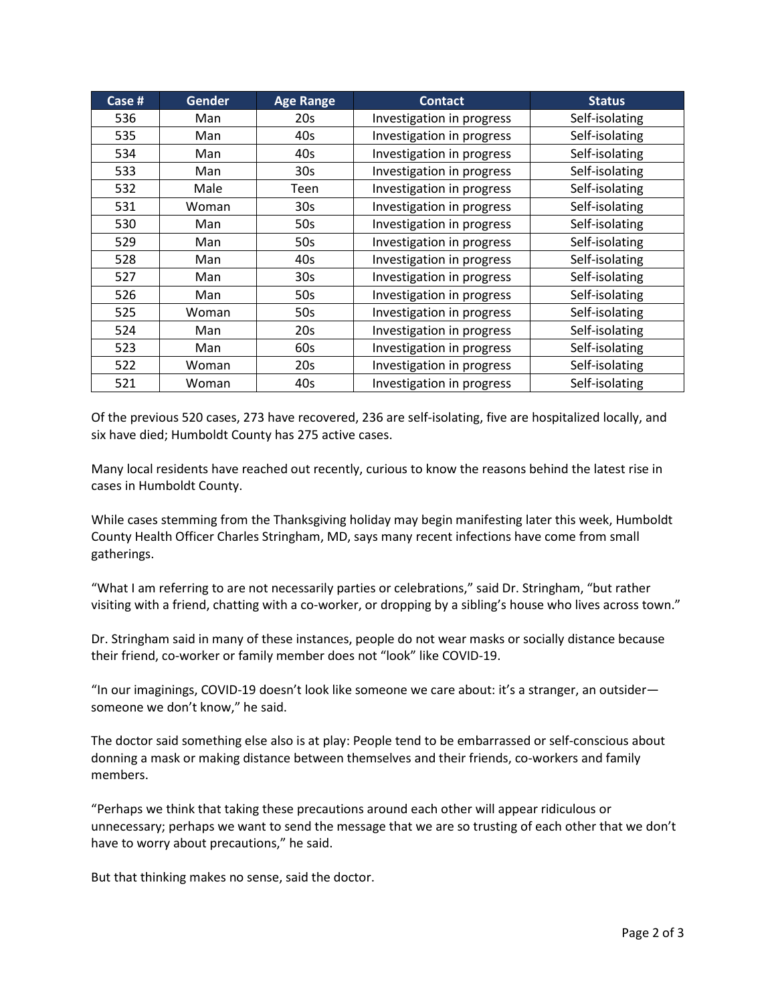| Case # | <b>Gender</b> | <b>Age Range</b> | <b>Contact</b>            | <b>Status</b>  |
|--------|---------------|------------------|---------------------------|----------------|
| 536    | Man           | 20s              | Investigation in progress | Self-isolating |
| 535    | Man           | 40s              | Investigation in progress | Self-isolating |
| 534    | Man           | 40s              | Investigation in progress | Self-isolating |
| 533    | Man           | 30 <sub>s</sub>  | Investigation in progress | Self-isolating |
| 532    | Male          | Teen             | Investigation in progress | Self-isolating |
| 531    | Woman         | 30s              | Investigation in progress | Self-isolating |
| 530    | Man           | 50s              | Investigation in progress | Self-isolating |
| 529    | Man           | 50s              | Investigation in progress | Self-isolating |
| 528    | Man           | 40s              | Investigation in progress | Self-isolating |
| 527    | Man           | 30 <sub>s</sub>  | Investigation in progress | Self-isolating |
| 526    | Man           | 50s              | Investigation in progress | Self-isolating |
| 525    | Woman         | 50s              | Investigation in progress | Self-isolating |
| 524    | Man           | 20s              | Investigation in progress | Self-isolating |
| 523    | Man           | 60s              | Investigation in progress | Self-isolating |
| 522    | Woman         | 20s              | Investigation in progress | Self-isolating |
| 521    | Woman         | 40s              | Investigation in progress | Self-isolating |

Of the previous 520 cases, 273 have recovered, 236 are self-isolating, five are hospitalized locally, and six have died; Humboldt County has 275 active cases.

Many local residents have reached out recently, curious to know the reasons behind the latest rise in cases in Humboldt County.

While cases stemming from the Thanksgiving holiday may begin manifesting later this week, Humboldt County Health Officer Charles Stringham, MD, says many recent infections have come from small gatherings.

"What I am referring to are not necessarily parties or celebrations," said Dr. Stringham, "but rather visiting with a friend, chatting with a co-worker, or dropping by a sibling's house who lives across town."

Dr. Stringham said in many of these instances, people do not wear masks or socially distance because their friend, co-worker or family member does not "look" like COVID-19.

"In our imaginings, COVID-19 doesn't look like someone we care about: it's a stranger, an outsider someone we don't know," he said.

The doctor said something else also is at play: People tend to be embarrassed or self-conscious about donning a mask or making distance between themselves and their friends, co-workers and family members.

"Perhaps we think that taking these precautions around each other will appear ridiculous or unnecessary; perhaps we want to send the message that we are so trusting of each other that we don't have to worry about precautions," he said.

But that thinking makes no sense, said the doctor.